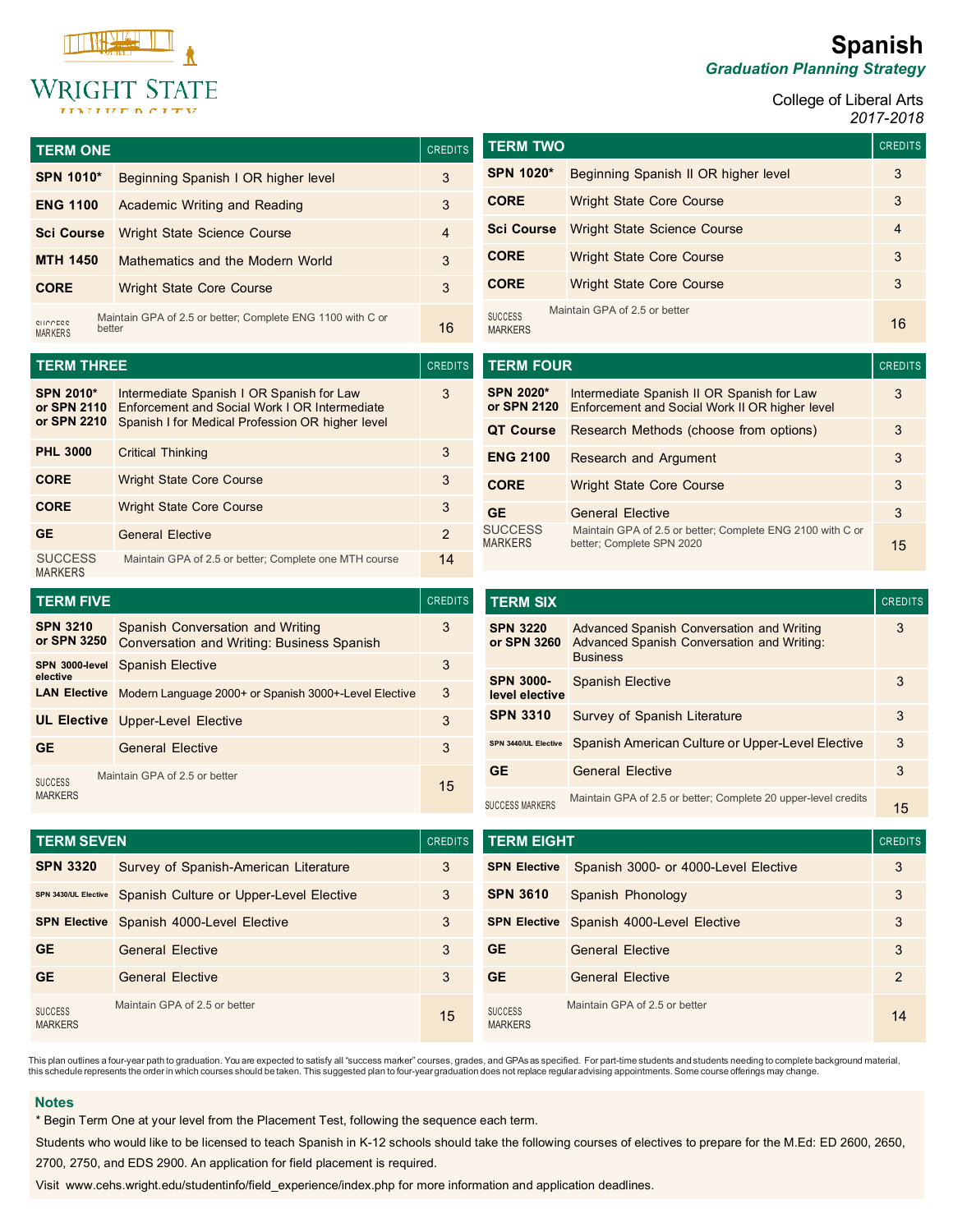# **Spanish** *Graduation Planning Strategy*

*2017-2018*

| IINIIIPDCITV                                                                                       |                                     |                |  |
|----------------------------------------------------------------------------------------------------|-------------------------------------|----------------|--|
| <b>TERM ONE</b>                                                                                    |                                     | <b>CREDITS</b> |  |
| <b>SPN 1010*</b>                                                                                   | Beginning Spanish I OR higher level | 3              |  |
| <b>ENG 1100</b>                                                                                    | Academic Writing and Reading        | 3              |  |
| <b>Sci Course</b>                                                                                  | <b>Wright State Science Course</b>  |                |  |
| <b>MTH 1450</b>                                                                                    | Mathematics and the Modern World    | 3              |  |
| <b>CORE</b>                                                                                        | <b>Wright State Core Course</b>     | 3              |  |
| Maintain GPA of 2.5 or better; Complete ENG 1100 with C or<br>CHICCECC<br>better<br><b>MARKERS</b> |                                     | 16             |  |
|                                                                                                    |                                     |                |  |

| <b>TERM THREE</b>                              |                                                                                                                                                | <b>CREDITS</b> |
|------------------------------------------------|------------------------------------------------------------------------------------------------------------------------------------------------|----------------|
| <b>SPN 2010*</b><br>or SPN 2110<br>or SPN 2210 | Intermediate Spanish I OR Spanish for Law<br>Enforcement and Social Work I OR Intermediate<br>Spanish I for Medical Profession OR higher level |                |
| <b>PHL 3000</b>                                | <b>Critical Thinking</b>                                                                                                                       | 3              |
| <b>CORE</b>                                    | <b>Wright State Core Course</b>                                                                                                                | 3              |
| <b>CORE</b>                                    | <b>Wright State Core Course</b>                                                                                                                | 3              |
| <b>GE</b>                                      | <b>General Elective</b>                                                                                                                        | 2              |
| <b>SUCCESS</b><br><b>MARKERS</b>               | Maintain GPA of 2.5 or better; Complete one MTH course                                                                                         | 14             |

| <b>TERM FIVE</b>                                                  |                                                                                | <b>CREDITS</b> |  |  |
|-------------------------------------------------------------------|--------------------------------------------------------------------------------|----------------|--|--|
| <b>SPN 3210</b><br>or SPN 3250                                    | Spanish Conversation and Writing<br>Conversation and Writing: Business Spanish |                |  |  |
| SPN 3000-level<br>elective                                        | <b>Spanish Elective</b>                                                        | 3              |  |  |
| <b>LAN Elective</b>                                               | Modern Language 2000+ or Spanish 3000+-Level Elective                          | 3              |  |  |
| <b>UL Elective</b>                                                | Upper-Level Elective                                                           | 3              |  |  |
| <b>GE</b>                                                         | <b>General Elective</b>                                                        | 3              |  |  |
| Maintain GPA of 2.5 or better<br><b>SUCCESS</b><br><b>MARKERS</b> |                                                                                | 15             |  |  |

| <b>SPN 1020*</b>                                                                                                                | Beginning Spanish II OR higher level |                |  |  |
|---------------------------------------------------------------------------------------------------------------------------------|--------------------------------------|----------------|--|--|
| <b>CORE</b>                                                                                                                     | <b>Wright State Core Course</b>      |                |  |  |
| <b>Sci Course</b>                                                                                                               | <b>Wright State Science Course</b>   |                |  |  |
| <b>CORE</b>                                                                                                                     | <b>Wright State Core Course</b>      | 3              |  |  |
| <b>CORE</b>                                                                                                                     | Wright State Core Course             | 3              |  |  |
| Maintain GPA of 2.5 or better<br><b>SUCCESS</b><br><b>MARKERS</b>                                                               |                                      | 16             |  |  |
| <b>TERM FOUR</b>                                                                                                                |                                      | <b>CREDITS</b> |  |  |
| <b>SPN 2020*</b><br>Intermediate Spanish II OR Spanish for Law<br>or SPN 2120<br>Enforcement and Social Work II OR higher level |                                      | 3              |  |  |

**TERM TWO CREDITS** 

| <b>UIIVEU</b><br>or SPN 2120 | intermediate opamon in OR opamon for Law<br>Enforcement and Social Work II OR higher level |    |  |  |
|------------------------------|--------------------------------------------------------------------------------------------|----|--|--|
| QT Course                    | Research Methods (choose from options)                                                     |    |  |  |
| <b>ENG 2100</b>              | <b>Research and Argument</b>                                                               |    |  |  |
| <b>CORE</b>                  | <b>Wright State Core Course</b>                                                            |    |  |  |
| <b>GE</b>                    | <b>General Elective</b>                                                                    | 3  |  |  |
| <b>SUCCESS</b><br>MARKERS    | Maintain GPA of 2.5 or better; Complete ENG 2100 with C or<br>better; Complete SPN 2020    | 15 |  |  |

| <b>TERM SIX</b>                    |                                                                                                            | <b>CREDITS</b> |
|------------------------------------|------------------------------------------------------------------------------------------------------------|----------------|
| <b>SPN 3220</b><br>or SPN 3260     | Advanced Spanish Conversation and Writing<br>Advanced Spanish Conversation and Writing:<br><b>Business</b> | 3              |
| <b>SPN 3000-</b><br>level elective | <b>Spanish Elective</b>                                                                                    | 3              |
| <b>SPN 3310</b>                    | Survey of Spanish Literature                                                                               | 3              |
| SPN 3440/UL Elective               | Spanish American Culture or Upper-Level Elective                                                           | 3              |
| <b>GE</b>                          | <b>General Elective</b>                                                                                    | 3              |
| <b>SUCCESS MARKERS</b>             | Maintain GPA of 2.5 or better; Complete 20 upper-level credits                                             | 15             |

| <b>TERM SEVEN</b>                |                                                              | <b>CREDITS</b> | <b>TERM EIGHT</b>                |                                                 | <b>CREDITS</b> |
|----------------------------------|--------------------------------------------------------------|----------------|----------------------------------|-------------------------------------------------|----------------|
| <b>SPN 3320</b>                  | Survey of Spanish-American Literature                        | 3              | <b>SPN Elective</b>              | Spanish 3000- or 4000-Level Elective            | 3              |
|                                  | SPN 3430/UL Elective Spanish Culture or Upper-Level Elective | 3              | <b>SPN 3610</b>                  | Spanish Phonology                               | 3              |
|                                  | <b>SPN Elective</b> Spanish 4000-Level Elective              | 3              |                                  | <b>SPN Elective</b> Spanish 4000-Level Elective | 3              |
| <b>GE</b>                        | <b>General Elective</b>                                      | 3              | <b>GE</b>                        | <b>General Elective</b>                         | 3              |
| <b>GE</b>                        | <b>General Elective</b>                                      | 3              | <b>GE</b>                        | <b>General Elective</b>                         | $\overline{2}$ |
| <b>SUCCESS</b><br><b>MARKERS</b> | Maintain GPA of 2.5 or better                                | 15             | <b>SUCCESS</b><br><b>MARKERS</b> | Maintain GPA of 2.5 or better                   | 14             |

This plan outlines a four-year path to graduation. You are expected to satisfy all "success marker" courses, grades, and GPAs as specified. For part-time students and students needing to complete background material,<br>this

#### **Notes**

\* Begin Term One at your level from the Placement Test, following the sequence each term.

Students who would like to be licensed to teach Spanish in K-12 schools should take the following courses of electives to prepare for the M.Ed: ED 2600, 2650, 2700, 2750, and EDS 2900. An application for field placement is required.

Visit www.cehs.wright.edu/studentinfo/field\_experience/index.php for more information and application deadlines.